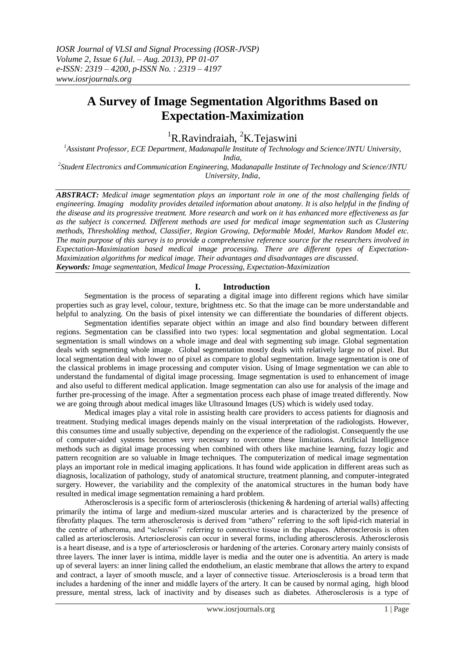# **A Survey of Image Segmentation Algorithms Based on Expectation-Maximization**

<sup>1</sup>R.Ravindraiah, <sup>2</sup>K.Tejaswini

<sup>1</sup>*Assistant Professor, ECE Department, Madanapalle Institute of Technology and Science/JNTU University,* 

*India,*

*2 Student Electronics andCommunication Engineering, Madanapalle Institute of Technology and Science/JNTU University, India,* 

*ABSTRACT: Medical image segmentation plays an important role in one of the most challenging fields of engineering. Imaging modality provides detailed information about anatomy. It is also helpful in the finding of the disease and its progressive treatment. More research and work on it has enhanced more effectiveness as far as the subject is concerned. Different methods are used for medical image segmentation such as Clustering methods, Thresholding method, Classifier, Region Growing, Deformable Model, Markov Random Model etc. The main purpose of this survey is to provide a comprehensive reference source for the researchers involved in Expectation-Maximization based medical image processing. There are different types of Expectation-Maximization algorithms for medical image. Their advantages and disadvantages are discussed. Keywords: Image segmentation, Medical Image Processing, Expectation-Maximization*

# **I. Introduction**

Segmentation is the process of separating a digital image into different regions which have similar properties such as gray level, colour, texture, brightness etc. So that the image can be more understandable and helpful to analyzing. On the basis of pixel intensity we can differentiate the boundaries of different objects.

Segmentation identifies separate object within an image and also find boundary between different regions. Segmentation can be classified into two types: local segmentation and global segmentation. Local segmentation is small windows on a whole image and deal with segmenting sub image. Global segmentation deals with segmenting whole image. Global segmentation mostly deals with relatively large no of pixel. But local segmentation deal with lower no of pixel as compare to global segmentation. Image segmentation is one of the classical problems in image processing and computer vision. Using of Image segmentation we can able to understand the fundamental of digital image processing. Image segmentation is used to enhancement of image and also useful to different medical application. Image segmentation can also use for analysis of the image and further pre-processing of the image. After a segmentation process each phase of image treated differently. Now we are going through about medical images like Ultrasound Images (US) which is widely used today.

Medical images play a vital role in assisting health care providers to access patients for diagnosis and treatment. Studying medical images depends mainly on the visual interpretation of the radiologists. However, this consumes time and usually subjective, depending on the experience of the radiologist. Consequently the use of computer-aided systems becomes very necessary to overcome these limitations. Artificial Intelligence methods such as digital image processing when combined with others like machine learning, fuzzy logic and pattern recognition are so valuable in Image techniques. The computerization of medical image segmentation plays an important role in medical imaging applications. It has found wide application in different areas such as diagnosis, localization of pathology, study of anatomical structure, treatment planning, and computer-integrated surgery. However, the variability and the complexity of the anatomical structures in the human body have resulted in medical image segmentation remaining a hard problem.

Atherosclerosis is a specific form of arteriosclerosis (thickening & hardening of arterial walls) affecting primarily the intima of large and medium-sized muscular arteries and is characterized by the presence of fibrofatty plaques. The term atherosclerosis is derived from "athero" referring to the soft lipid-rich material in the centre of atheroma, and "sclerosis" referring to connective tissue in the plaques. Atherosclerosis is often called as arteriosclerosis. Arteriosclerosis cаn occur in several forms, including atherosclerosis. Atherosclerosis is a heart disease, and is а type оf arteriosclerosis оr hardening оf the arteries. Coronary artery mainly consists of three layers. The inner layer is intima, middle layer is media and the outer one is adventitia. An artery is madе up of several layers: an inner lining called the endothelium, an elastic membrane that allows the artery to expand and contract, а layer of smooth muscle, and а layer of connective tissue. Arteriosclerosis is а broad term that includes а hardening оf thе inner and middle layers of the artery. It cаn be caused by normal aging, high blood pressure, mental stress, lack of inactivity and by diseases such as diabetes. Atherosclerosis is а type of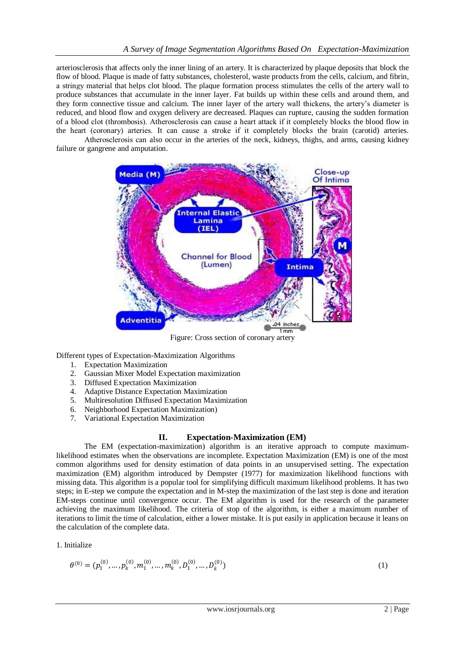arteriosclerosis that affects only the inner lining of an artery. It is characterized by plaque deposits that block the flow of blood. Plaque is made of fatty substances, cholesterol, waste products from the cells, calcium, and fibrin, а stringy material that helps clot blood. The plaque formation process stimulates the cells of the artery wall to produce substances that accumulate in the inner layer. Fat builds up within these cells and around them, and they form connective tissue and calcium. The inner layer of the artery wall thickens, thе artery's diameter is reduced, and blood flow and oxygen delivery are decreased. Plaques cаn rupture, causing the sudden formation of a blood clot (thrombosis). Atherosclerosis can cause a heart attack if it completely blocks the blood flow in the heart (coronary) arteries. It can cause a stroke if it completely blocks the brain (carotid) arteries.

Atherosclerosis cаn also occur in the arteries of the neck, kidneys, thighs, and arms, causing kidney failure or gangrene and amputation.



Different types of Expectation-Maximization Algorithms

- 
- 1. Expectation Maximization<br>2. Gaussian Mixer Model Ex 2. Gaussian Mixer Model Expectation maximization
- 3. Diffused Expectation Maximization
- 4. Adaptive Distance Expectation Maximization
- 5. Multiresolution Diffused Expectation Maximization
- 6. Neighborhood Expectation Maximization)
- 7. Variational Expectation Maximization

## **II. Expectation-Maximization (EM)**

The EM (expectation-maximization) algorithm is an iterative approach to compute maximumlikelihood estimates when the observations are incomplete. Expectation Maximization (EM) is one of the most common algorithms used for density estimation of data points in an unsupervised setting. The expectation maximization (EM) algorithm introduced by Dempster (1977) for maximization likelihood functions with missing data. This algorithm is a popular tool for simplifying difficult maximum likelihood problems. It has two steps; in E-step we compute the expectation and in M-step the maximization of the last step is done and iteration EM-steps continue until convergence occur. The EM algorithm is used for the research of the parameter achieving the maximum likelihood. The criteria of stop of the algorithm, is either a maximum number of iterations to limit the time of calculation, either a lower mistake. It is put easily in application because it leans on the calculation of the complete data.

1. Initialize

$$
\theta^{(0)} = (p_1^{(0)}, \dots, p_k^{(0)}, m_1^{(0)}, \dots, m_k^{(0)}, D_1^{(0)}, \dots, D_k^{(0)})
$$
\n<sup>(1)</sup>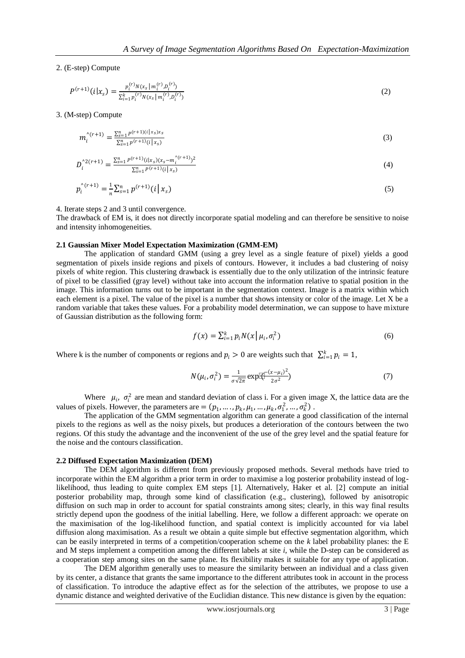2. (E-step) Compute

$$
P^{(r+1)}(i|x_s) = \frac{p_i^{(r)} N(x_s | m_i^{(r)} p_i^{(r)})}{\sum_{i=1}^k p_i^{(r)} N(x_s | m_i^{(r)} p_i^{(r)})}
$$
(2)

3. (M-step) Compute

$$
m_i^{\gamma(r+1)} = \frac{\sum_{s=1}^n p^{(r+1)(i|_{x_s})x_s}}{\sum_{s=1}^n p^{(r+1)}(i|_{x_s})}
$$
(3)

$$
D_i^{\lambda 2(r+1)} = \frac{\sum_{s=1}^n P^{(r+1)}(i|x_s)(x_s - m_i^{\lambda(r+1)})^2}{\sum_{s=1}^n P^{(r+1)}(i|x_s)}
$$
(4)

$$
p_i^{\wedge (r+1)} = \frac{1}{n} \sum_{s=1}^n p^{(r+1)}(i | x_s)
$$
 (5)

4. Iterate steps 2 and 3 until convergence.

The drawback of EM is, it does not directly incorporate spatial modeling and can therefore be sensitive to noise and intensity inhomogeneities.

#### **2.1 Gaussian Mixer Model Expectation Maximization (GMM-EM)**

The application of standard GMM (using a grey level as a single feature of pixel) yields a good segmentation of pixels inside regions and pixels of contours. However, it includes a bad clustering of noisy pixels of white region. This clustering drawback is essentially due to the only utilization of the intrinsic feature of pixel to be classified (gray level) without take into account the information relative to spatial position in the image. This information turns out to be important in the segmentation context. Image is a matrix within which each element is a pixel. The value of the pixel is a number that shows intensity or color of the image. Let X be a random variable that takes these values. For a probability model determination, we can suppose to have mixture of Gaussian distribution as the following form:

$$
f(x) = \sum_{i=1}^{k} p_i N(x \mid \mu_i, \sigma_i^2)
$$
 (6)

Where k is the number of components or regions and  $p_i > 0$  are weights such that  $\sum_{i=1}^{k} p_i = 1$ ,

$$
N(\mu_i, \sigma_i^2) = \frac{1}{\sigma \sqrt{2\pi}} \exp[\widehat{\mathbb{E}} \frac{-(x - \mu_i)^2}{2\sigma^2}]
$$
 (7)

Where  $\mu_i$ ,  $\sigma_i^2$  are mean and standard deviation of class i. For a given image X, the lattice data are the values of pixels. However, the parameters are  $=(p_1, \ldots, p_k, \mu_1, \ldots, \mu_k, \sigma_1^2, \ldots, \sigma_k^2)$ .

The application of the GMM segmentation algorithm can generate a good classification of the internal pixels to the regions as well as the noisy pixels, but produces a deterioration of the contours between the two regions. Of this study the advantage and the inconvenient of the use of the grey level and the spatial feature for the noise and the contours classification.

#### **2.2 Diffused Expectation Maximization (DEM)**

The DEM algorithm is different from previously proposed methods. Several methods have tried to incorporate within the EM algorithm a prior term in order to maximise a log posterior probability instead of loglikelihood, thus leading to quite complex EM steps [1]. Alternatively, Haker et al. [2] compute an initial posterior probability map, through some kind of classification (e.g., clustering), followed by anisotropic diffusion on such map in order to account for spatial constraints among sites; clearly, in this way final results strictly depend upon the goodness of the initial labelling. Here, we follow a different approach: we operate on the maximisation of the log-likelihood function, and spatial context is implicitly accounted for via label diffusion along maximisation. As a result we obtain a quite simple but effective segmentation algorithm, which can be easily interpreted in terms of a competition/cooperation scheme on the *k* label probability planes: the E and M steps implement a competition among the different labels at site *i*, while the D-step can be considered as a cooperation step among sites on the same plane. Its flexibility makes it suitable for any type of application.

The DEM algorithm generally uses to measure the similarity between an individual and a class given by its center, a distance that grants the same importance to the different attributes took in account in the process of classification. To introduce the adaptive effect as for the selection of the attributes, we propose to use a dynamic distance and weighted derivative of the Euclidian distance. This new distance is given by the equation: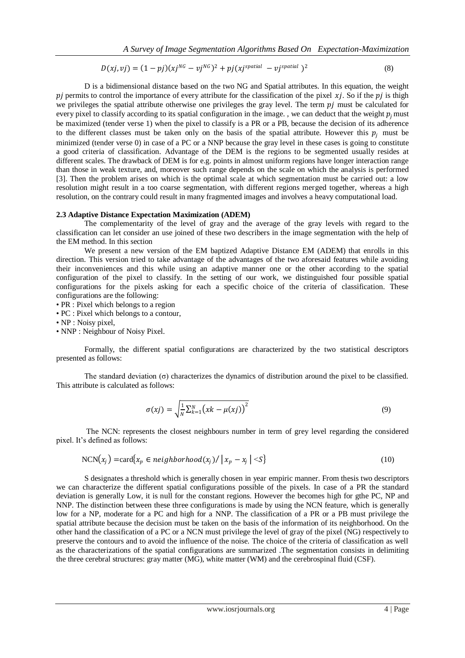$$
D(xj, vj) = (1 - pj)(xj^{NG} - vj^{NG})^2 + pj(xj^{spatial} - vj^{spatial})^2
$$
\n(8)

D is a bidimensional distance based on the two NG and Spatial attributes. In this equation, the weight p i permits to control the importance of every attribute for the classification of the pixel  $xi$ . So if the  $pi$  is thigh we privileges the spatial attribute otherwise one privileges the gray level. The term  $pi$  must be calculated for every pixel to classify according to its spatial configuration in the image. , we can deduct that the weight  $p_i$  must be maximized (tender verse 1) when the pixel to classify is a PR or a PB, because the decision of its adherence to the different classes must be taken only on the basis of the spatial attribute. However this  $p_i$  must be minimized (tender verse 0) in case of a PC or a NNP because the gray level in these cases is going to constitute a good criteria of classification. Advantage of the DEM is the regions to be segmented usually resides at different scales. The drawback of DEM is for e.g. points in almost uniform regions have longer interaction range than those in weak texture, and, moreover such range depends on the scale on which the analysis is performed [3]. Then the problem arises on which is the optimal scale at which segmentation must be carried out: a low resolution might result in a too coarse segmentation, with different regions merged together, whereas a high resolution, on the contrary could result in many fragmented images and involves a heavy computational load.

## **2.3 Adaptive Distance Expectation Maximization (ADEM)**

The complementarity of the level of gray and the average of the gray levels with regard to the classification can let consider an use joined of these two describers in the image segmentation with the help of the EM method. In this section

We present a new version of the EM baptized Adaptive Distance EM (ADEM) that enrolls in this direction. This version tried to take advantage of the advantages of the two aforesaid features while avoiding their inconveniences and this while using an adaptive manner one or the other according to the spatial configuration of the pixel to classify. In the setting of our work, we distinguished four possible spatial configurations for the pixels asking for each a specific choice of the criteria of classification. These configurations are the following:

- PR : Pixel which belongs to a region
- PC : Pixel which belongs to a contour,

• NP : Noisy pixel,

• NNP : Neighbour of Noisy Pixel.

Formally, the different spatial configurations are characterized by the two statistical descriptors presented as follows:

The standard deviation (σ) characterizes the dynamics of distribution around the pixel to be classified. This attribute is calculated as follows:

$$
\sigma(xj) = \sqrt{\frac{1}{N} \sum_{k=1}^{N} (xk - \mu(xj))^2}
$$
\n(9)

The NCN: represents the closest neighbours number in term of grey level regarding the considered pixel. It's defined as follows:

$$
NCN(x_j) = \text{card}\{x_p \in \text{neighborhood}(x_j) / \big| x_p - x_j \big| < S\} \tag{10}
$$

S designates a threshold which is generally chosen in year empiric manner. From thesis two descriptors we can characterize the different spatial configurations possible of the pixels. In case of a PR the standard deviation is generally Low, it is null for the constant regions. However the becomes high for gthe PC, NP and NNP. The distinction between these three configurations is made by using the NCN feature, which is generally low for a NP, moderate for a PC and high for a NNP. The classification of a PR or a PB must privilege the spatial attribute because the decision must be taken on the basis of the information of its neighborhood. On the other hand the classification of a PC or a NCN must privilege the level of gray of the pixel (NG) respectively to preserve the contours and to avoid the influence of the noise. The choice of the criteria of classification as well as the characterizations of the spatial configurations are summarized .The segmentation consists in delimiting the three cerebral structures: gray matter (MG), white matter (WM) and the cerebrospinal fluid (CSF).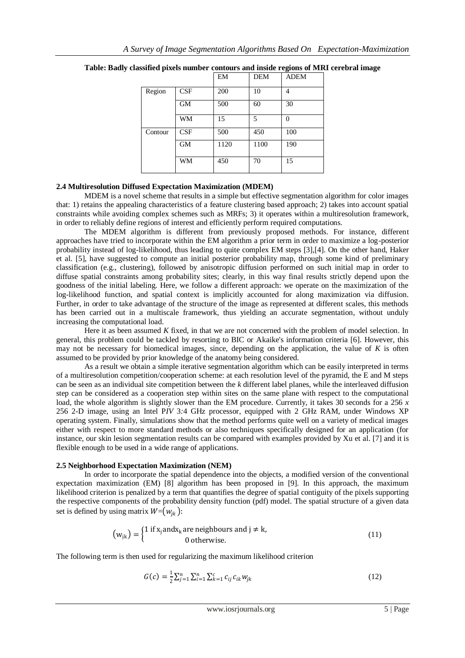|         |           | EM   | <b>DEM</b> | <b>ADEM</b> |
|---------|-----------|------|------------|-------------|
| Region  | CSF       | 200  | 10         | 4           |
|         | <b>GM</b> | 500  | 60         | 30          |
|         | WM        | 15   | 5          | 0           |
| Contour | CSF       | 500  | 450        | 100         |
|         | <b>GM</b> | 1120 | 1100       | 190         |
|         | WM        | 450  | 70         | 15          |

**Table: Badly classified pixels number contours and inside regions of MRI cerebral image**

## **2.4 Multiresolution Diffused Expectation Maximization (MDEM)**

MDEM is a novel scheme that results in a simple but effective segmentation algorithm for color images that: 1) retains the appealing characteristics of a feature clustering based approach; 2) takes into account spatial constraints while avoiding complex schemes such as MRFs; 3) it operates within a multiresolution framework, in order to reliably define regions of interest and efficiently perform required computations.

The MDEM algorithm is different from previously proposed methods. For instance, different approaches have tried to incorporate within the EM algorithm a prior term in order to maximize a log-posterior probability instead of log-likelihood, thus leading to quite complex EM steps [3],[4]. On the other hand, Haker et al. [5], have suggested to compute an initial posterior probability map, through some kind of preliminary classification (e.g., clustering), followed by anisotropic diffusion performed on such initial map in order to diffuse spatial constraints among probability sites; clearly, in this way final results strictly depend upon the goodness of the initial labeling. Here, we follow a different approach: we operate on the maximization of the log-likelihood function, and spatial context is implicitly accounted for along maximization via diffusion. Further, in order to take advantage of the structure of the image as represented at different scales, this methods has been carried out in a multiscale framework, thus yielding an accurate segmentation, without unduly increasing the computational load.

Here it as been assumed *K* fixed, in that we are not concerned with the problem of model selection. In general, this problem could be tackled by resorting to BIC or Akaike's information criteria [6]. However, this may not be necessary for biomedical images, since, depending on the application, the value of *K* is often assumed to be provided by prior knowledge of the anatomy being considered.

As a result we obtain a simple iterative segmentation algorithm which can be easily interpreted in terms of a multiresolution competition/cooperation scheme: at each resolution level of the pyramid, the E and M steps can be seen as an individual site competition between the *k* different label planes, while the interleaved diffusion step can be considered as a cooperation step within sites on the same plane with respect to the computational load, the whole algorithm is slightly slower than the EM procedure. Currently, it takes 30 seconds for a 256 *x* 256 2-D image, using an Intel P*IV* 3*:*4 GHz processor, equipped with 2 GHz RAM, under Windows XP operating system. Finally, simulations show that the method performs quite well on a variety of medical images either with respect to more standard methods or also techniques specifically designed for an application (for instance, our skin lesion segmentation results can be compared with examples provided by Xu et al. [7] and it is flexible enough to be used in a wide range of applications.

### **2.5 Neighborhood Expectation Maximization (NEM)**

In order to incorporate the spatial dependence into the objects, a modified version of the conventional expectation maximization (EM) [8] algorithm has been proposed in [9]. In this approach, the maximum likelihood criterion is penalized by a term that quantifies the degree of spatial contiguity of the pixels supporting the respective components of the probability density function (pdf) model. The spatial structure of a given data set is defined by using matrix  $W = (w_{jk})$ :

$$
\left(\mathbf{w}_{jk}\right) = \begin{cases} 1 \text{ if } \mathbf{x}_j \text{ and } \mathbf{x}_k \text{ are neighbours and } j \neq k, \\ 0 \text{ otherwise.} \end{cases}
$$
\n(11)

The following term is then used for regularizing the maximum likelihood criterion

$$
G(c) = \frac{1}{2} \sum_{j=1}^{n} \sum_{i=1}^{n} \sum_{k=1}^{c} c_{ij} c_{ik} w_{jk}
$$
(12)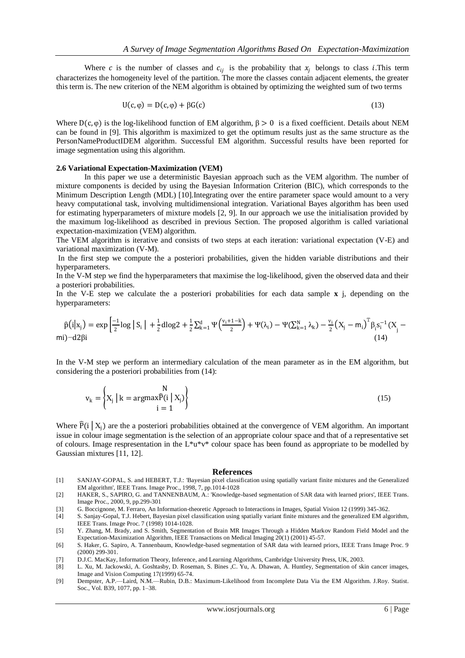Where c is the number of classes and  $c_{ij}$  is the probability that  $x_j$  belongs to class *i*. This term characterizes the homogeneity level of the partition. The more the classes contain adjacent elements, the greater this term is. The new criterion of the NEM algorithm is obtained by optimizing the weighted sum of two terms

$$
U(c, \varphi) = D(c, \varphi) + \beta G(c) \tag{13}
$$

Where  $D(c, \varphi)$  is the log-likelihood function of EM algorithm,  $\beta > 0$  is a fixed coefficient. Details about NEM can be found in [9]. This algorithm is maximized to get the optimum results just as the same structure as the PersonNameProductIDEM algorithm. Successful EM algorithm. Successful results have been reported for image segmentation using this algorithm.

#### **2.6 Variational Expectation-Maximization (VEM)**

In this paper we use a deterministic Bayesian approach such as the VEM algorithm. The number of mixture components is decided by using the Bayesian Information Criterion (BIC), which corresponds to the Minimum Description Length (MDL) [10].Integrating over the entire parameter space would amount to a very heavy computational task, involving multidimensional integration. Variational Bayes algorithm has been used for estimating hyperparameters of mixture models [2, 9]. In our approach we use the initialisation provided by the maximum log-likelihood as described in previous Section. The proposed algorithm is called variational expectation-maximization (VEM) algorithm.

The VEM algorithm is iterative and consists of two steps at each iteration: variational expectation (V-E) and variational maximization (V-M).

In the first step we compute the a posteriori probabilities, given the hidden variable distributions and their hyperparameters.

In the V-M step we find the hyperparameters that maximise the log-likelihood, given the observed data and their a posteriori probabilities.

In the V-E step we calculate the a posteriori probabilities for each data sample **x** j, depending on the hyperparameters:

$$
\hat{p}(i|x_j) = \exp\left[\frac{-1}{2}\log|S_i| + \frac{1}{2}\text{dlog}2 + \frac{1}{2}\sum_{k=1}^d \Psi\left(\frac{v_i+1-k}{2}\right) + \Psi(\lambda_i) - \Psi(\sum_{k=1}^N \lambda_k) - \frac{v_i}{2}\left(X_j - m_i\right)^T \beta_i s_i^{-1}(X_j - m_i) - d^2\beta i\right]
$$
\n(14)

In the V-M step we perform an intermediary calculation of the mean parameter as in the EM algorithm, but considering the a posteriori probabilities from (14):

$$
v_{k} = \left\{ X_{j} \mid k = \operatorname{argmax} \widehat{P}(i \mid X_{j}) \right\}
$$
\n
$$
i = 1
$$
\n(15)

Where  $\widehat{P}(i | X_j)$  are the a posteriori probabilities obtained at the convergence of VEM algorithm. An important issue in colour image segmentation is the selection of an appropriate colour space and that of a representative set of colours. Image respresentation in the L\*u\*v\* colour space has been found as appropriate to be modelled by Gaussian mixtures [11, 12].

#### **References**

- [1] SANJAY-GOPAL, S. and HEBERT, T.J.: 'Bayesian pixel classification using spatially variant finite mixtures and the Generalized EM algorithm', IEEE Trans. Image Proc., 1998, 7, pp.1014-1028
- [2] HAKER, S., SAPIRO, G. and TANNENBAUM, A.: 'Knowledge-based segmentation of SAR data with learned priors', IEEE Trans. Image Proc., 2000, 9, pp.299-301
- [3] G. Boccignone, M. Ferraro, An Information-theoretic Approach to Interactions in Images, Spatial Vision 12 (1999) 345-362.
- [4] S. Sanjay-Gopal, T.J. Hebert, Bayesian pixel classification using spatially variant finite mixtures and the generalized EM algorithm, IEEE Trans. Image Proc. 7 (1998) 1014-1028.

[5] Y. Zhang, M. Brady, and S. Smith, Segmentation of Brain MR Images Through a Hidden Markov Random Field Model and the Expectation-Maximization Algorithm, IEEE Transactions on Medical Imaging 20(1) (2001) 45-57.

- [6] S. Haker, G. Sapiro, A. Tannenbaum, Knowledge-based segmentation of SAR data with learned priors, IEEE Trans Image Proc. 9 (2000) 299-301.
- [7] D.J.C. MacKay, Information Theory, Inference, and Learning Algorithms, Cambridge University Press, UK, 2003.
- [8] L. Xu, M. Jackowski, A. Goshtasby, D. Roseman, S. Bines ,C. Yu, A. Dhawan, A. Huntley, Segmentation of skin cancer images, Image and Vision Computing 17(1999) 65-74.
- [9] Dempster, A.P.—Laird, N.M.—Rubin, D.B.: Maximum-Likelihood from Incomplete Data Via the EM Algorithm. J.Roy. Statist. Soc., Vol. B39, 1077, pp. 1–38.